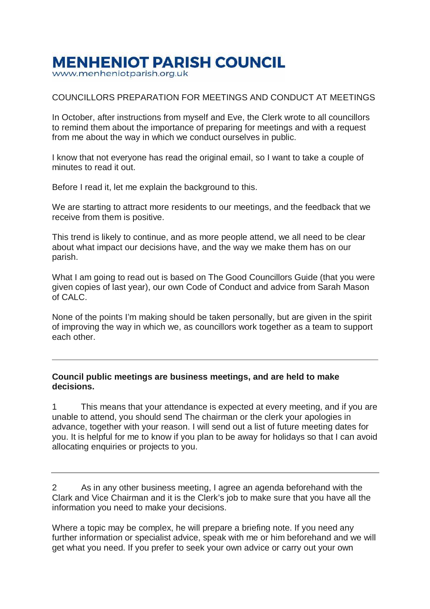## **MENHENIOT PARISH COUNCIL**

www.menheniotparish.org.uk

## COUNCILLORS PREPARATION FOR MEETINGS AND CONDUCT AT MEETINGS

In October, after instructions from myself and Eve, the Clerk wrote to all councillors to remind them about the importance of preparing for meetings and with a request from me about the way in which we conduct ourselves in public.

I know that not everyone has read the original email, so I want to take a couple of minutes to read it out.

Before I read it, let me explain the background to this.

We are starting to attract more residents to our meetings, and the feedback that we receive from them is positive.

This trend is likely to continue, and as more people attend, we all need to be clear about what impact our decisions have, and the way we make them has on our parish.

What I am going to read out is based on The Good Councillors Guide (that you were given copies of last year), our own Code of Conduct and advice from Sarah Mason of CALC.

None of the points I'm making should be taken personally, but are given in the spirit of improving the way in which we, as councillors work together as a team to support each other.

## **Council public meetings are business meetings, and are held to make decisions.**

1 This means that your attendance is expected at every meeting, and if you are unable to attend, you should send The chairman or the clerk your apologies in advance, together with your reason. I will send out a list of future meeting dates for you. It is helpful for me to know if you plan to be away for holidays so that I can avoid allocating enquiries or projects to you.

2 As in any other business meeting, I agree an agenda beforehand with the Clark and Vice Chairman and it is the Clerk's job to make sure that you have all the information you need to make your decisions.

Where a topic may be complex, he will prepare a briefing note. If you need any further information or specialist advice, speak with me or him beforehand and we will get what you need. If you prefer to seek your own advice or carry out your own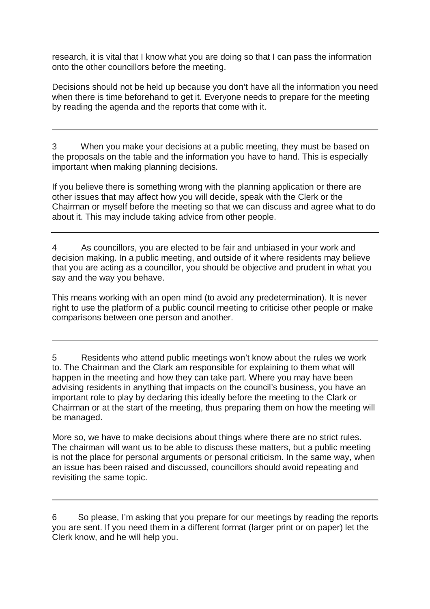research, it is vital that I know what you are doing so that I can pass the information onto the other councillors before the meeting.

Decisions should not be held up because you don't have all the information you need when there is time beforehand to get it. Everyone needs to prepare for the meeting by reading the agenda and the reports that come with it.

3 When you make your decisions at a public meeting, they must be based on the proposals on the table and the information you have to hand. This is especially important when making planning decisions.

If you believe there is something wrong with the planning application or there are other issues that may affect how you will decide, speak with the Clerk or the Chairman or myself before the meeting so that we can discuss and agree what to do about it. This may include taking advice from other people.

4 As councillors, you are elected to be fair and unbiased in your work and decision making. In a public meeting, and outside of it where residents may believe that you are acting as a councillor, you should be objective and prudent in what you say and the way you behave.

This means working with an open mind (to avoid any predetermination). It is never right to use the platform of a public council meeting to criticise other people or make comparisons between one person and another.

5 Residents who attend public meetings won't know about the rules we work to. The Chairman and the Clark am responsible for explaining to them what will happen in the meeting and how they can take part. Where you may have been advising residents in anything that impacts on the council's business, you have an important role to play by declaring this ideally before the meeting to the Clark or Chairman or at the start of the meeting, thus preparing them on how the meeting will be managed.

More so, we have to make decisions about things where there are no strict rules. The chairman will want us to be able to discuss these matters, but a public meeting is not the place for personal arguments or personal criticism. In the same way, when an issue has been raised and discussed, councillors should avoid repeating and revisiting the same topic.

6 So please, I'm asking that you prepare for our meetings by reading the reports you are sent. If you need them in a different format (larger print or on paper) let the Clerk know, and he will help you.